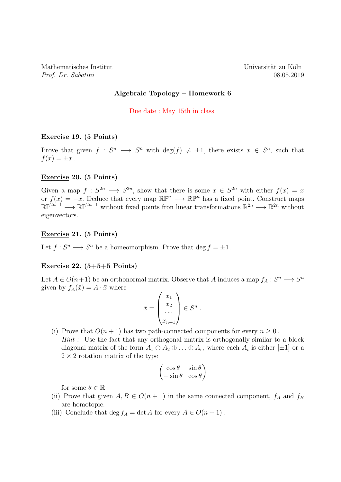# Algebraic Topology – Homework 6

Due date : May 15th in class.

# Exercise 19. (5 Points)

Prove that given  $f: S^n \longrightarrow S^n$  with  $deg(f) \neq \pm 1$ , there exists  $x \in S^n$ , such that  $f(x) = \pm x$ .

## Exercise 20. (5 Points)

Given a map  $f: S^{2n} \longrightarrow S^{2n}$ , show that there is some  $x \in S^{2n}$  with either  $f(x) = x$ or  $f(x) = -x$ . Deduce that every map  $\mathbb{RP}^n \longrightarrow \mathbb{RP}^n$  has a fixed point. Construct maps  $\mathbb{RP}^{2n-1} \longrightarrow \mathbb{RP}^{2n-1}$  without fixed points fron linear transformations  $\mathbb{R}^{2n} \longrightarrow \mathbb{R}^{2n}$  without eigenvectors.

#### Exercise 21. (5 Points)

Let  $f: S^n \longrightarrow S^n$  be a homeomorphism. Prove that  $\deg f = \pm 1$ .

## Exercise 22.  $(5+5+5$  Points)

Let  $A \in O(n+1)$  be an orthonormal matrix. Observe that A induces a map  $f_A : S^n \longrightarrow S^n$ given by  $f_A(\bar{x}) = A \cdot \bar{x}$  where

$$
\bar{x} = \begin{pmatrix} x_1 \\ x_2 \\ \dots \\ x_{n+1} \end{pmatrix} \in S^n .
$$

(i) Prove that  $O(n+1)$  has two path-connected components for every  $n \geq 0$ . Hint : Use the fact that any orthogonal matrix is orthogonally similar to a block diagonal matrix of the form  $A_1 \oplus A_2 \oplus \ldots \oplus A_r$ , where each  $A_i$  is either [ $\pm 1$ ] or a  $2 \times 2$  rotation matrix of the type

$$
\begin{pmatrix}\n\cos\theta & \sin\theta \\
-\sin\theta & \cos\theta\n\end{pmatrix}
$$

for some  $\theta \in \mathbb{R}$ .

- (ii) Prove that given  $A, B \in O(n+1)$  in the same connected component,  $f_A$  and  $f_B$ are homotopic.
- (iii) Conclude that deg  $f_A = \det A$  for every  $A \in O(n+1)$ .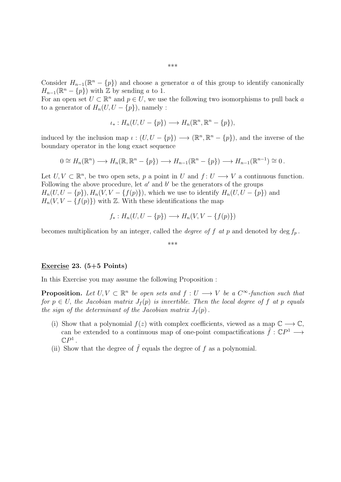Consider  $H_{n-1}(\mathbb{R}^n - \{p\})$  and choose a generator a of this group to identify canonically  $H_{n-1}(\mathbb{R}^n - \{p\})$  with  $\mathbb{Z}$  by sending a to 1.

For an open set  $U \subset \mathbb{R}^n$  and  $p \in U$ , we use the following two isomorphisms to pull back a to a generator of  $H_n(U, U - \{p\})$ , namely :

$$
\iota_*: H_n(U, U - \{p\}) \longrightarrow H_n(\mathbb{R}^n, \mathbb{R}^n - \{p\}),
$$

induced by the inclusion map  $\iota : (U, U - \{p\}) \longrightarrow (\mathbb{R}^n, \mathbb{R}^n - \{p\})$ , and the inverse of the boundary operator in the long exact sequence

$$
0 \cong H_n(\mathbb{R}^n) \longrightarrow H_n(\mathbb{R}, \mathbb{R}^n - \{p\}) \longrightarrow H_{n-1}(\mathbb{R}^n - \{p\}) \longrightarrow H_{n-1}(\mathbb{R}^{n-1}) \cong 0.
$$

Let  $U, V \subset \mathbb{R}^n$ , be two open sets, p a point in U and  $f: U \longrightarrow V$  a continuous function. Following the above procedure, let  $a'$  and  $b'$  be the generators of the groups  $H_n(U, U - \{p\}), H_n(V, V - \{f(p)\})$ , which we use to identify  $H_n(U, U - \{p\})$  and  $H_n(V, V - \{f(p)\})$  with Z. With these identifications the map

$$
f_*: H_n(U, U - \{p\}) \longrightarrow H_n(V, V - \{f(p)\})
$$

becomes multiplication by an integer, called the *degree of f at p* and denoted by deg  $f_p$ .

\*\*\*

### Exercise 23. (5+5 Points)

In this Exercise you may assume the following Proposition :

**Proposition.** Let  $U, V \subset \mathbb{R}^n$  be open sets and  $f: U \longrightarrow V$  be a  $C^{\infty}$ -function such that for  $p \in U$ , the Jacobian matrix  $J_f(p)$  is invertible. Then the local degree of f at p equals the sign of the determinant of the Jacobian matrix  $J_f(p)$ .

- (i) Show that a polynomial  $f(z)$  with complex coefficients, viewed as a map  $\mathbb{C} \longrightarrow \mathbb{C}$ , can be extended to a continuous map of one-point compactifications  $\tilde{f}: \mathbb{C}P^1 \longrightarrow$  $\mathbb{C}P^1$  .
- (ii) Show that the degree of  $\tilde{f}$  equals the degree of f as a polynomial.